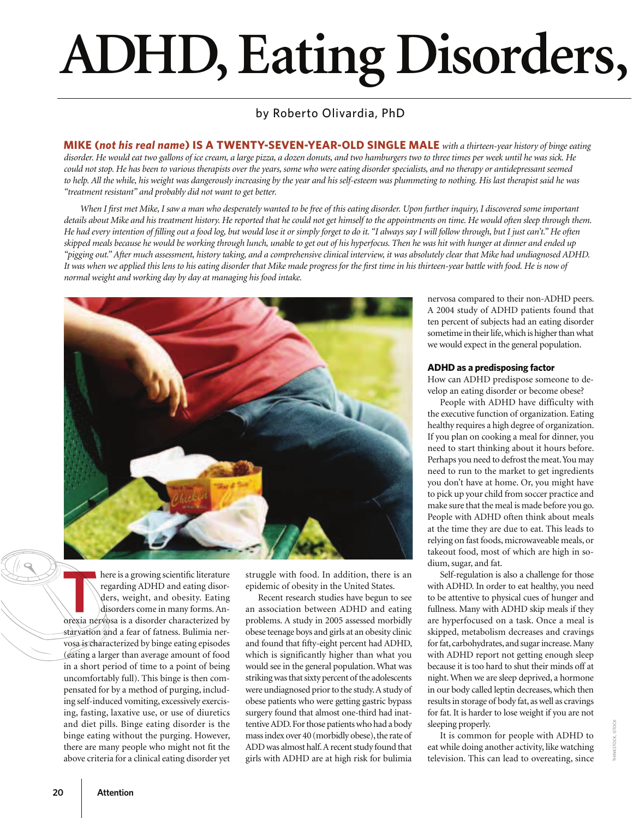## **ADHD, Eating Disorders,**

### by Roberto Olivardia, PhD

**MIKE (***not his real name***) IS A TWENTY-SEVEN-YEAR-OLD SINGLE MALE** *with a thirteen-year history of binge eating disorder. He would eat two gallons of ice cream, a large pizza, a dozen donuts, and two hamburgers two to three times per week until he was sick. He could not stop. He has been to various therapists over the years, some who were eating disorder specialists, and no therapy or antidepressant seemed*  to help. All the while, his weight was dangerously increasing by the year and his self-esteem was plummeting to nothing. His last therapist said he was *"treatment resistant" and probably did not want to get better.*

When I first met Mike, I saw a man who desperately wanted to be free of this eating disorder. Upon further inquiry, I discovered some important *details about Mike and his treatment history. He reported that he could not get himself to the appointments on time. He would often sleep through them. He had every intention of filling out a food log, but would lose it or simply forget to do it. "I always say I will follow through, but I just can't." He often skipped meals because he would be working through lunch, unable to get out of his hyperfocus. Then he was hit with hunger at dinner and ended up "pigging out." After much assessment, history taking, and a comprehensive clinical interview, it was absolutely clear that Mike had undiagnosed ADHD. It was when we applied this lens to his eating disorder that Mike made progress for the first time in his thirteen-year battle with food. He is now of normal weight and working day by day at managing his food intake.* 



here is a growing scientific literature regarding ADHD and eating disorders, weight, and obesity. Eating disorders come in many forms. An-An orexia nervosa is a disorder characterized by starvation and a fear of fatness. Bulimia nervosa is characterized by binge eating episodes (eating a larger than average amount of food in a short period of time to a point of being uncomfortably full). This binge is then compensated for by a method of purging, including self-induced vomiting, excessively exercising, fasting, laxative use, or use of diuretics and diet pills. Binge eating disorder is the binge eating without the purging. However, there are many people who might not fit the above criteria for a clinical eating disorder yet

struggle with food. In addition, there is an epidemic of obesity in the United States.

Recent research studies have begun to see an association between ADHD and eating problems. A study in 2005 assessed morbidly obese teenage boys and girls at an obesity clinic and found that fifty-eight percent had ADHD, which is significantly higher than what you would see in the general population. What was striking was that sixty percent of the adolescents were undiagnosed prior to the study. A study of obese patients who were getting gastric bypass surgery found that almost one-third had inattentive ADD. For those patients who had a body mass index over 40 (morbidly obese), the rate of ADD was almost half. A recent study found that girls with ADHD are at high risk for bulimia

nervosa compared to their non-ADHD peers. A 2004 study of ADHD patients found that ten percent of subjects had an eating disorder sometime in their life, which is higher than what we would expect in the general population.

### **ADHD as a predisposing factor**

How can ADHD predispose someone to develop an eating disorder or become obese?

People with ADHD have difficulty with the executive function of organization. Eating healthy requires a high degree of organization. If you plan on cooking a meal for dinner, you need to start thinking about it hours before. Perhaps you need to defrost the meat. You may need to run to the market to get ingredients you don't have at home. Or, you might have to pick up your child from soccer practice and make sure that the meal is made before you go. People with ADHD often think about meals at the time they are due to eat. This leads to relying on fast foods, microwaveable meals, or takeout food, most of which are high in sodium, sugar, and fat.

Self-regulation is also a challenge for those with ADHD. In order to eat healthy, you need to be attentive to physical cues of hunger and fullness. Many with ADHD skip meals if they are hyperfocused on a task. Once a meal is skipped, metabolism decreases and cravings for fat, carbohydrates, and sugar increase. Many with ADHD report not getting enough sleep because it is too hard to shut their minds off at night. When we are sleep deprived, a hormone in our body called leptin decreases, which then results in storage of body fat, as well as cravings for fat. It is harder to lose weight if you are not sleeping properly.

It is common for people with ADHD to eat while doing another activity, like watching television. This can lead to overeating, since